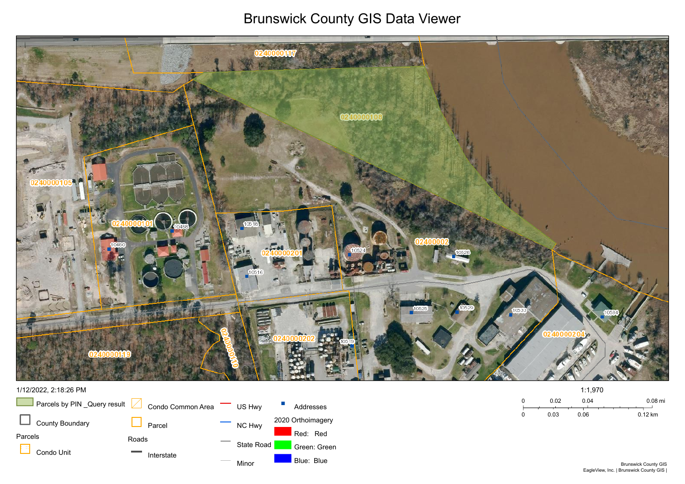## Brunswick County GIS Data Viewer





## 1/12/2022, 2:18:26 PM

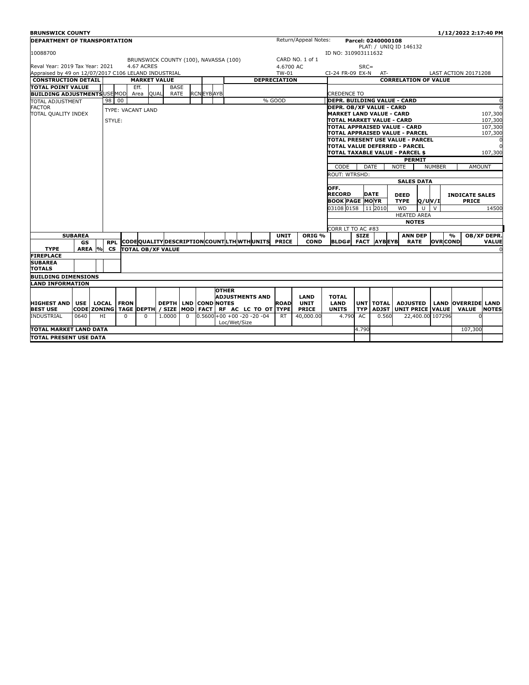| <b>BRUNSWICK COUNTY</b>                                           |                     |                                 |            |                     |                   |                                              |          |                     |              |                                         |                   |              |                                                               |                                           |                                                                                |                                            |                             |               |                  | 1/12/2022 2:17:40 PM        |              |  |  |
|-------------------------------------------------------------------|---------------------|---------------------------------|------------|---------------------|-------------------|----------------------------------------------|----------|---------------------|--------------|-----------------------------------------|-------------------|--------------|---------------------------------------------------------------|-------------------------------------------|--------------------------------------------------------------------------------|--------------------------------------------|-----------------------------|---------------|------------------|-----------------------------|--------------|--|--|
| <b>DEPARTMENT OF TRANSPORTATION</b>                               |                     |                                 |            |                     |                   |                                              |          |                     |              |                                         |                   |              | Return/Appeal Notes:                                          |                                           |                                                                                | Parcel: 0240000108                         |                             |               |                  |                             |              |  |  |
|                                                                   |                     |                                 |            |                     |                   |                                              |          |                     |              |                                         |                   |              |                                                               |                                           |                                                                                |                                            | PLAT: / UNIO ID 146132      |               |                  |                             |              |  |  |
| 10088700                                                          |                     |                                 |            |                     |                   |                                              |          |                     |              |                                         |                   |              | ID NO: 310903111632                                           |                                           |                                                                                |                                            |                             |               |                  |                             |              |  |  |
|                                                                   |                     |                                 |            |                     |                   | BRUNSWICK COUNTY (100), NAVASSA (100)        |          |                     |              |                                         |                   |              | CARD NO. 1 of 1                                               |                                           |                                                                                |                                            |                             |               |                  |                             |              |  |  |
| Reval Year: 2019 Tax Year: 2021<br><b>4.67 ACRES</b><br>4.6700 AC |                     |                                 |            |                     |                   |                                              |          |                     |              |                                         |                   |              |                                                               |                                           | $SRC =$                                                                        |                                            |                             |               |                  |                             |              |  |  |
| Appraised by 49 on 12/07/2017 C106 LELAND INDUSTRIAL              |                     |                                 |            |                     |                   |                                              |          |                     |              | TW-01                                   |                   |              |                                                               |                                           | CI-24 FR-09 EX-N                                                               | AT-                                        |                             |               |                  | <b>LAST ACTION 20171208</b> |              |  |  |
| <b>CONSTRUCTION DETAIL</b>                                        |                     |                                 |            | <b>MARKET VALUE</b> |                   |                                              |          | <b>DEPRECIATION</b> |              |                                         |                   |              |                                                               |                                           | <b>CORRELATION OF VALUE</b>                                                    |                                            |                             |               |                  |                             |              |  |  |
| <b>TOTAL POINT VALUE</b>                                          |                     |                                 |            |                     | Eff.              | <b>BASE</b>                                  |          |                     |              |                                         |                   |              |                                                               |                                           |                                                                                |                                            |                             |               |                  |                             |              |  |  |
| <b>BUILDING ADJUSTMENTS USE MOD</b>                               |                     |                                 |            |                     | Area              | QUAL<br>RATE                                 |          | <b>RCN EYBAYB</b>   |              |                                         |                   |              |                                                               | CREDENCE TO                               |                                                                                |                                            |                             |               |                  |                             |              |  |  |
| <b>TOTAL ADJUSTMENT</b>                                           |                     |                                 | 98 00      |                     |                   |                                              |          |                     |              |                                         |                   | % GOOD       |                                                               |                                           |                                                                                |                                            | DEPR. BUILDING VALUE - CARD |               |                  |                             | $\sqrt{ }$   |  |  |
| <b>FACTOR</b>                                                     |                     |                                 |            |                     | TYPE: VACANT LAND |                                              |          |                     |              |                                         |                   |              |                                                               |                                           | <b>DEPR. OB/XF VALUE - CARD</b><br>$\Omega$                                    |                                            |                             |               |                  |                             |              |  |  |
| TOTAL QUALITY INDEX                                               |                     |                                 |            |                     |                   |                                              |          |                     |              |                                         |                   |              |                                                               |                                           |                                                                                | 107,300<br><b>MARKET LAND VALUE - CARD</b> |                             |               |                  |                             |              |  |  |
|                                                                   |                     |                                 | STYLE:     |                     |                   |                                              |          |                     |              |                                         |                   |              |                                                               | TOTAL MARKET VALUE - CARD                 |                                                                                |                                            |                             |               |                  |                             | 107,300      |  |  |
|                                                                   |                     |                                 |            |                     |                   |                                              |          |                     |              |                                         |                   |              |                                                               |                                           | TOTAL APPRAISED VALUE - CARD                                                   |                                            |                             |               |                  |                             | 107,300      |  |  |
|                                                                   |                     |                                 |            |                     |                   |                                              |          |                     |              |                                         |                   |              |                                                               | 107,300<br>TOTAL APPRAISED VALUE - PARCEL |                                                                                |                                            |                             |               |                  |                             |              |  |  |
|                                                                   |                     |                                 |            |                     |                   |                                              |          |                     |              |                                         |                   |              |                                                               |                                           | TOTAL PRESENT USE VALUE - PARCEL<br>$\Omega$<br>ITOTAL VALUE DEFERRED - PARCEL |                                            |                             |               |                  |                             |              |  |  |
|                                                                   |                     |                                 |            |                     |                   |                                              |          |                     |              |                                         |                   |              |                                                               |                                           |                                                                                |                                            |                             |               |                  |                             | 107,300      |  |  |
|                                                                   |                     | TOTAL TAXABLE VALUE - PARCEL \$ |            |                     |                   |                                              |          |                     |              |                                         |                   |              | <b>PERMIT</b>                                                 |                                           |                                                                                |                                            |                             |               |                  |                             |              |  |  |
|                                                                   |                     |                                 |            |                     |                   |                                              |          |                     |              |                                         |                   |              | DATE<br><b>NOTE</b><br>CODE<br><b>NUMBER</b><br><b>AMOUNT</b> |                                           |                                                                                |                                            |                             |               |                  |                             |              |  |  |
|                                                                   |                     |                                 |            |                     |                   |                                              |          |                     |              |                                         |                   |              | ROUT: WTRSHD:                                                 |                                           |                                                                                |                                            |                             |               |                  |                             |              |  |  |
|                                                                   |                     |                                 |            |                     |                   |                                              |          |                     |              |                                         |                   |              |                                                               | <b>SALES DATA</b>                         |                                                                                |                                            |                             |               |                  |                             |              |  |  |
|                                                                   |                     |                                 |            |                     |                   |                                              |          |                     |              |                                         |                   |              |                                                               | OFF.                                      |                                                                                |                                            |                             |               |                  |                             |              |  |  |
|                                                                   |                     |                                 |            |                     |                   |                                              |          |                     |              |                                         |                   |              |                                                               | <b>RECORD</b>                             | <b>DATE</b>                                                                    |                                            |                             | <b>DEED</b>   |                  | <b>INDICATE SALES</b>       |              |  |  |
|                                                                   |                     |                                 |            |                     |                   |                                              |          |                     |              |                                         |                   |              |                                                               |                                           | <b>BOOK PAGE MOYR</b><br><b>TYPE</b><br><b>O/UV/I</b>                          |                                            |                             |               | <b>PRICE</b>     |                             |              |  |  |
|                                                                   |                     |                                 |            |                     |                   |                                              |          |                     |              |                                         |                   |              |                                                               | 03108 0158                                |                                                                                | 11 2010                                    | <b>WD</b>                   | $\mathbf{U}$  | $\vee$           |                             | 14500        |  |  |
|                                                                   |                     |                                 |            |                     |                   |                                              |          |                     |              |                                         |                   |              | <b>HEATED AREA</b>                                            |                                           |                                                                                |                                            |                             |               |                  |                             |              |  |  |
|                                                                   |                     |                                 |            |                     |                   |                                              |          |                     |              |                                         |                   |              | <b>NOTES</b>                                                  |                                           |                                                                                |                                            |                             |               |                  |                             |              |  |  |
|                                                                   |                     |                                 |            |                     |                   |                                              |          |                     |              |                                         |                   |              | CORR LT TO AC #83                                             |                                           |                                                                                |                                            |                             |               |                  |                             |              |  |  |
| <b>SUBAREA</b>                                                    |                     |                                 |            |                     |                   |                                              |          |                     |              | <b>UNIT</b>                             | ORIG <sub>%</sub> |              | <b>SIZE</b>                                                   |                                           | <b>ANN DEP</b>                                                                 |                                            |                             | $\frac{9}{6}$ | OB/XF DEPR.      |                             |              |  |  |
|                                                                   | GS                  |                                 | <b>RPL</b> |                     |                   | CODEQUALITY DESCRIPTION COUNTLITH WITH UNITS |          |                     |              |                                         |                   | <b>PRICE</b> | <b>COND</b>                                                   | <b>BLDG#</b>                              | <b>FACT</b>                                                                    | <b>AYBEYB</b>                              | <b>RATE</b>                 |               | <b>OVR</b> COND  |                             | <b>VALUE</b> |  |  |
| <b>TYPE</b>                                                       | AREA <sup>l</sup> % |                                 | <b>CS</b>  |                     |                   | <b>TOTAL OB/XF VALUE</b>                     |          |                     |              |                                         |                   |              |                                                               |                                           |                                                                                |                                            |                             |               |                  |                             | C            |  |  |
| <b>FIREPLACE</b>                                                  |                     |                                 |            |                     |                   |                                              |          |                     |              |                                         |                   |              |                                                               |                                           |                                                                                |                                            |                             |               |                  |                             |              |  |  |
| <b>SUBAREA</b>                                                    |                     |                                 |            |                     |                   |                                              |          |                     |              |                                         |                   |              |                                                               |                                           |                                                                                |                                            |                             |               |                  |                             |              |  |  |
| <b>TOTALS</b>                                                     |                     |                                 |            |                     |                   |                                              |          |                     |              |                                         |                   |              |                                                               |                                           |                                                                                |                                            |                             |               |                  |                             |              |  |  |
| <b>BUILDING DIMENSIONS</b>                                        |                     |                                 |            |                     |                   |                                              |          |                     |              |                                         |                   |              |                                                               |                                           |                                                                                |                                            |                             |               |                  |                             |              |  |  |
| <b>LAND INFORMATION</b>                                           |                     |                                 |            |                     |                   |                                              |          |                     |              |                                         |                   |              |                                                               |                                           |                                                                                |                                            |                             |               |                  |                             |              |  |  |
|                                                                   |                     |                                 |            |                     |                   |                                              |          |                     | <b>OTHER</b> |                                         |                   |              |                                                               |                                           |                                                                                |                                            |                             |               |                  |                             |              |  |  |
|                                                                   |                     |                                 |            |                     |                   |                                              |          |                     |              | <b>ADJUSTMENTS AND</b>                  |                   |              | <b>LAND</b>                                                   | <b>TOTAL</b>                              |                                                                                |                                            |                             |               |                  |                             |              |  |  |
| <b>HIGHEST AND</b>                                                | <b>USE</b>          |                                 | LOCAL      | <b>FRON</b>         |                   | <b>DEPTH   LND   COND NOTES</b>              |          |                     |              |                                         |                   | <b>ROAD</b>  | <b>UNIT</b>                                                   | <b>LAND</b>                               | <b>UNT</b>                                                                     | <b>TOTAL</b>                               | <b>ADJUSTED</b>             |               |                  | <b>LAND OVERRIDE LAND</b>   |              |  |  |
| <b>BEST USE</b>                                                   |                     |                                 |            |                     |                   | CODE ZONING TAGE DEPTH / SIZE                |          | MOD FACT            |              | RF AC LC TO OT                          |                   | <b>TYPE</b>  | <b>PRICE</b>                                                  | <b>UNITS</b>                              | <b>TYP</b>                                                                     |                                            | ADJST UNIT PRICE VALUE      |               |                  | <b>VALUE</b>                | <b>NOTES</b> |  |  |
| <b>INDUSTRIAL</b>                                                 | 0640                | HI                              |            | $\Omega$            | $\Omega$          | 1.0000                                       | $\Omega$ |                     |              | $0.5600+00+00-20-20-04$<br>Loc/Wet/Size |                   | RT.          | 40,000.00                                                     | 4.790                                     | AC                                                                             | 0.560                                      |                             |               | 22,400.00 107296 |                             |              |  |  |
| <b>TOTAL MARKET LAND DATA</b>                                     |                     |                                 |            |                     |                   |                                              |          |                     |              |                                         |                   |              |                                                               |                                           | 4.790                                                                          |                                            |                             |               |                  | 107,300                     |              |  |  |
|                                                                   |                     |                                 |            |                     |                   |                                              |          |                     |              |                                         |                   |              |                                                               |                                           |                                                                                |                                            |                             |               |                  |                             |              |  |  |
| TOTAL PRESENT USE DATA                                            |                     |                                 |            |                     |                   |                                              |          |                     |              |                                         |                   |              |                                                               |                                           |                                                                                |                                            |                             |               |                  |                             |              |  |  |